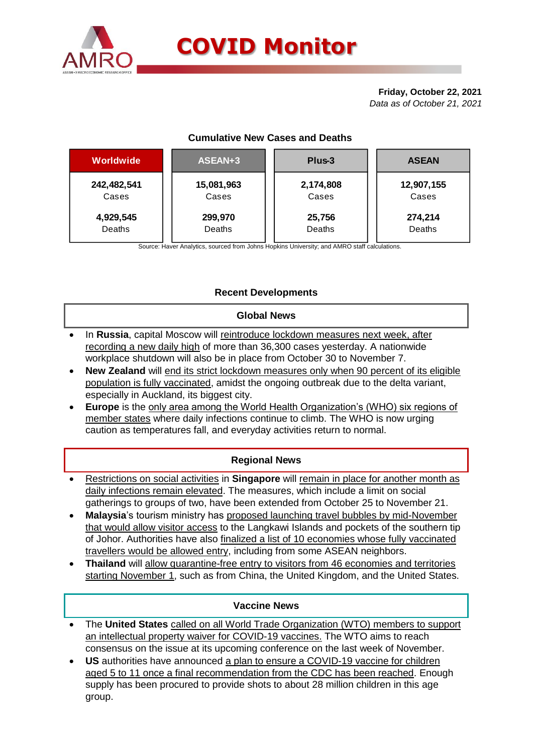

# **COVID Monitor**

#### **Friday, October 22, 2021** *Data as of October 21, 2021*

## **Cumulative New Cases and Deaths**

| Worldwide   | ASEAN+3    | Plus-3    | <b>ASEAN</b> |  |  |
|-------------|------------|-----------|--------------|--|--|
| 242,482,541 | 15,081,963 | 2,174,808 | 12,907,155   |  |  |
| Cases       | Cases      | Cases     | Cases        |  |  |
| 4,929,545   | 299,970    | 25,756    | 274,214      |  |  |
| Deaths      | Deaths     | Deaths    | Deaths       |  |  |

Source: Haver Analytics, sourced from Johns Hopkins University; and AMRO staff calculations.

## **Recent Developments**

### **Global News**

- In **Russia**, capital Moscow will reintroduce lockdown measures next week, after recording a new daily high of more than 36,300 cases yesterday. A nationwide workplace shutdown will also be in place from October 30 to November 7.
- **New Zealand** will end its strict lockdown measures only when 90 percent of its eligible population is fully vaccinated, amidst the ongoing outbreak due to the delta variant, especially in Auckland, its biggest city.
- **Europe** is the only area among the World Health Organization's (WHO) six regions of member states where daily infections continue to climb. The WHO is now urging caution as temperatures fall, and everyday activities return to normal.

## **Regional News**

- Restrictions on social activities in **Singapore** will remain in place for another month as daily infections remain elevated. The measures, which include a limit on social gatherings to groups of two, have been extended from October 25 to November 21.
- **Malaysia**'s tourism ministry has proposed launching travel bubbles by mid-November that would allow visitor access to the Langkawi Islands and pockets of the southern tip of Johor. Authorities have also finalized a list of 10 economies whose fully vaccinated travellers would be allowed entry, including from some ASEAN neighbors.
- **Thailand** will allow quarantine-free entry to visitors from 46 economies and territories starting November 1, such as from China, the United Kingdom, and the United States.

#### **Vaccine News**

- The **United States** called on all World Trade Organization (WTO) members to support an intellectual property waiver for COVID-19 vaccines. The WTO aims to reach consensus on the issue at its upcoming conference on the last week of November.
- **US** authorities have announced a plan to ensure a COVID-19 vaccine for children aged 5 to 11 once a final recommendation from the CDC has been reached. Enough supply has been procured to provide shots to about 28 million children in this age group.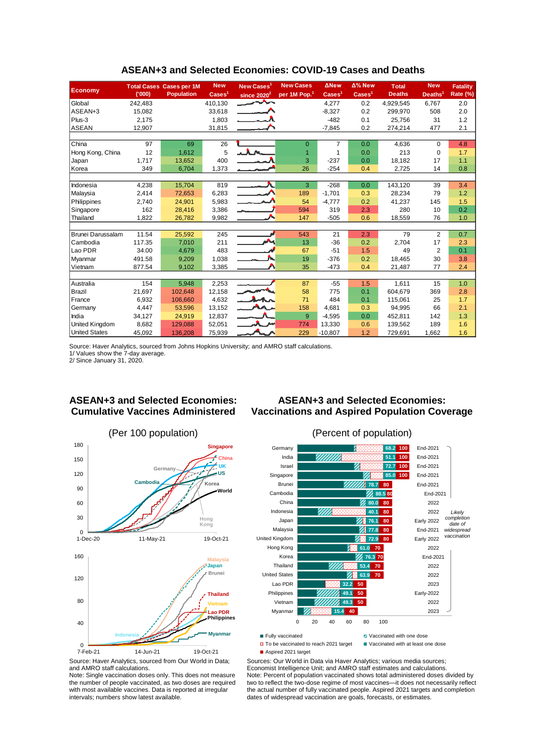|                          |         | <b>Total Cases Cases per 1M</b> | <b>New</b>               | New Cases <sup>1</sup>   | <b>New Cases</b>         | <b>ANew</b>              | $\Delta$ % New           | <b>Total</b>  | <b>New</b>          | <b>Fatality</b> |
|--------------------------|---------|---------------------------------|--------------------------|--------------------------|--------------------------|--------------------------|--------------------------|---------------|---------------------|-----------------|
| <b>Economy</b>           | (000)   | <b>Population</b>               | $\text{Case} \text{s}^1$ | since $2020^2$           | per 1M Pop. <sup>1</sup> | $\text{Case} \text{s}^1$ | $\text{Case} \text{s}^1$ | <b>Deaths</b> | Deaths <sup>1</sup> | Rate (%)        |
| Global                   | 242.483 |                                 | 410.130                  | ᄉᄉ                       |                          | 4,277                    | 0.2                      | 4.929.545     | 6.767               | 2.0             |
| ASEAN+3                  | 15,082  |                                 | 33,618                   | $\overline{\phantom{a}}$ |                          | $-8,327$                 | 0.2                      | 299,970       | 508                 | 2.0             |
| Plus-3                   | 2,175   |                                 | 1,803                    |                          |                          | $-482$                   | 0.1                      | 25.756        | 31                  | 1.2             |
| ASEAN                    | 12,907  |                                 | 31,815                   |                          |                          | $-7,845$                 | 0.2                      | 274,214       | 477                 | 2.1             |
|                          |         |                                 |                          |                          |                          |                          |                          |               |                     |                 |
| China                    | 97      | 69                              | 26                       |                          | $\Omega$                 | 7                        | 0.0                      | 4,636         | 0                   | 4.8             |
| Hong Kong, China         | 12      | 1.612                           | 5                        |                          |                          | 1                        | 0.0                      | 213           | 0                   | 1.7             |
| Japan                    | 1,717   | 13,652                          | 400                      |                          | 3                        | $-237$                   | 0.0                      | 18,182        | 17                  | 1.1             |
| Korea                    | 349     | 6,704                           | 1,373                    |                          | 26                       | $-254$                   | 0.4                      | 2,725         | 14                  | 0.8             |
|                          |         |                                 |                          |                          |                          |                          |                          |               |                     |                 |
| Indonesia                | 4,238   | 15,704                          | 819                      | $\overline{\phantom{a}}$ | 3                        | $-268$                   | 0.0                      | 143,120       | 39                  | 3.4             |
| Malaysia                 | 2.414   | 72,653                          | 6,283                    |                          | 189                      | $-1.701$                 | 0.3                      | 28,234        | 79                  | 1.2             |
| Philippines              | 2,740   | 24,901                          | 5,983                    |                          | 54                       | $-4,777$                 | 0.2                      | 41,237        | 145                 | 1.5             |
| Singapore                | 162     | 28,416                          | 3,386                    |                          | 594                      | 319                      | 2.3                      | 280           | 10                  | 0.2             |
| Thailand                 | 1,822   | 26,782                          | 9,982                    |                          | 147                      | $-505$                   | 0.6                      | 18,559        | 76                  | 1.0             |
|                          |         |                                 |                          |                          |                          |                          |                          |               |                     |                 |
| <b>Brunei Darussalam</b> | 11.54   | 25,592                          | 245                      |                          | 543                      | 21                       | 2.3                      | 79            | 2                   | 0.7             |
| Cambodia                 | 117.35  | 7,010                           | 211                      | м                        | 13                       | $-36$                    | 0.2                      | 2,704         | 17                  | 2.3             |
| Lao PDR                  | 34.00   | 4,679                           | 483                      |                          | 67                       | $-51$                    | 1.5                      | 49            | 2                   | 0.1             |
| Myanmar                  | 491.58  | 9,209                           | 1,038                    |                          | 19                       | $-376$                   | 0.2                      | 18,465        | 30                  | 3.8             |
| Vietnam                  | 877.54  | 9,102                           | 3,385                    |                          | 35                       | $-473$                   | 0.4                      | 21,487        | 77                  | 2.4             |
|                          |         |                                 |                          |                          |                          |                          |                          |               |                     |                 |
| Australia                | 154     | 5.948                           | 2,253                    |                          | 87                       | $-55$                    | 1.5                      | 1,611         | 15                  | 1.0             |
| Brazil                   | 21,697  | 102,648                         | 12,158                   |                          | 58                       | 775                      | 0.1                      | 604,679       | 369                 | 2.8             |
| France                   | 6,932   | 106,660                         | 4,632                    | $\lambda$                | 71                       | 484                      | 0.1                      | 115,061       | 25                  | 1.7             |
| Germany                  | 4,447   | 53,596                          | 13,152                   |                          | 158                      | 4,681                    | 0.3                      | 94,995        | 66                  | 2.1             |
| India                    | 34,127  | 24,919                          | 12,837                   |                          | 9                        | $-4,595$                 | 0.0                      | 452,811       | 142                 | 1.3             |
| <b>United Kingdom</b>    | 8,682   | 129,088                         | 52,051                   |                          | 774                      | 13,330                   | 0.6                      | 139,562       | 189                 | 1.6             |
| <b>United States</b>     | 45,092  | 136.208                         | 75,939                   |                          | 229                      | $-10.807$                | 1.2                      | 729,691       | 1.662               | 1.6             |

#### **ASEAN+3 and Selected Economies: COVID-19 Cases and Deaths**

Source: Haver Analytics, sourced from Johns Hopkins University; and AMRO staff calculations.

1/ Values show the 7-day average. 2/ Since January 31, 2020.

### **ASEAN+3 and Selected Economies: Cumulative Vaccines Administered**

### **ASEAN+3 and Selected Economies: Vaccinations and Aspired Population Coverage**







- 
- Aspired 2021 target

 $\Box$  To be vaccinated to reach 2021 target  $\Box$  Vaccinated with at least one dose

Sources: Our World in Data via Haver Analytics; various media sources; Economist Intelligence Unit; and AMRO staff estimates and calculations. Note: Percent of population vaccinated shows total administered doses divided by two to reflect the two-dose regime of most vaccines—it does not necessarily reflect the actual number of fully vaccinated people. Aspired 2021 targets and completion dates of widespread vaccination are goals, forecasts, or estimates.

Source: Haver Analytics, sourced from Our World in Data; and AMRO staff calculations.

Note: Single vaccination doses only. This does not measure the number of people vaccinated, as two doses are required with most available vaccines. Data is reported at irregular intervals; numbers show latest available.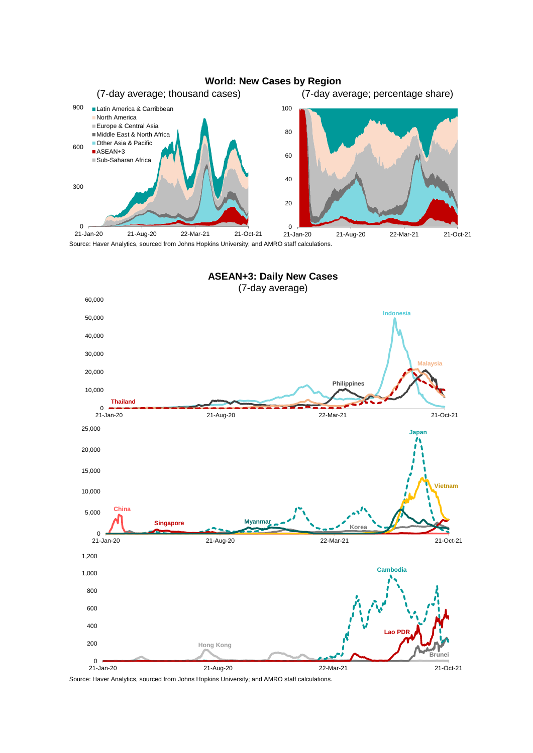



Source: Haver Analytics, sourced from Johns Hopkins University; and AMRO staff calculations.